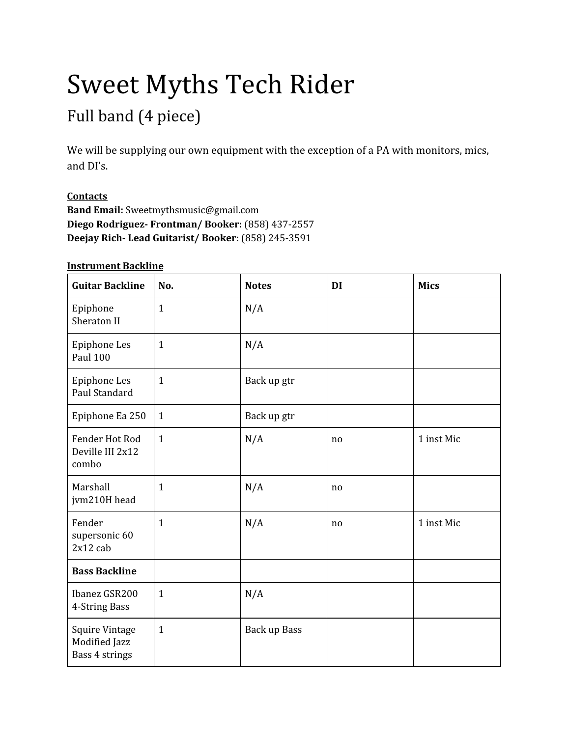# Sweet Myths Tech Rider

## Full band (4 piece)

We will be supplying our own equipment with the exception of a PA with monitors, mics, and DI's.

### **Contacts**

**Band Email:** Sweetmythsmusic@gmail.com **Diego Rodriguez- Frontman/ Booker:** (858) 437-2557 **Deejay Rich- Lead Guitarist/ Booker**: (858) 245-3591

#### **Instrument Backline**

| <b>Guitar Backline</b>                                   | No.          | <b>Notes</b> | DI             | <b>Mics</b> |
|----------------------------------------------------------|--------------|--------------|----------------|-------------|
| Epiphone<br>Sheraton II                                  | $\mathbf{1}$ | N/A          |                |             |
| Epiphone Les<br><b>Paul 100</b>                          | $\mathbf{1}$ | N/A          |                |             |
| Epiphone Les<br>Paul Standard                            | $\mathbf{1}$ | Back up gtr  |                |             |
| Epiphone Ea 250                                          | $\mathbf{1}$ | Back up gtr  |                |             |
| Fender Hot Rod<br>Deville III 2x12<br>combo              | $\mathbf{1}$ | N/A          | no             | 1 inst Mic  |
| Marshall<br>jvm210H head                                 | $\mathbf{1}$ | N/A          | n <sub>0</sub> |             |
| Fender<br>supersonic 60<br>$2x12$ cab                    | $\mathbf{1}$ | N/A          | no             | 1 inst Mic  |
| <b>Bass Backline</b>                                     |              |              |                |             |
| Ibanez GSR200<br>4-String Bass                           | $\mathbf{1}$ | N/A          |                |             |
| <b>Squire Vintage</b><br>Modified Jazz<br>Bass 4 strings | $\mathbf{1}$ | Back up Bass |                |             |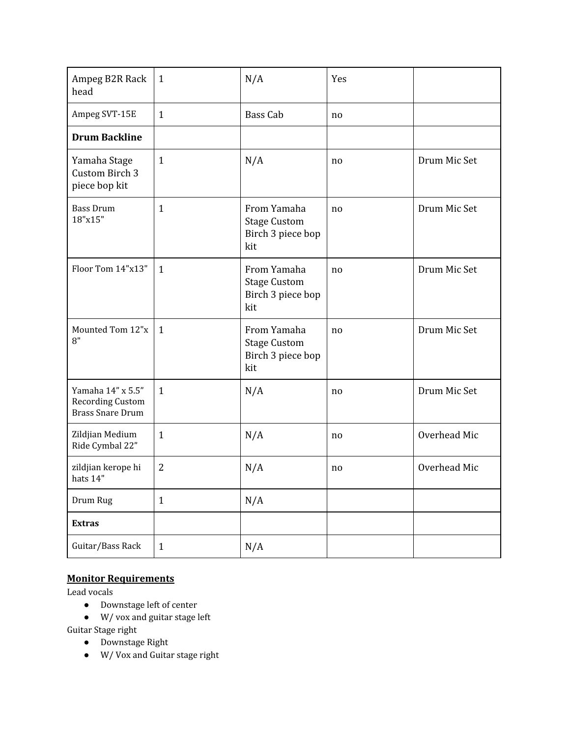| Ampeg B2R Rack<br>head                                                  | $\mathbf{1}$   | N/A                                                            | Yes |              |
|-------------------------------------------------------------------------|----------------|----------------------------------------------------------------|-----|--------------|
| Ampeg SVT-15E                                                           | $\mathbf{1}$   | Bass Cab                                                       | no  |              |
| <b>Drum Backline</b>                                                    |                |                                                                |     |              |
| Yamaha Stage<br>Custom Birch 3<br>piece bop kit                         | $\mathbf{1}$   | N/A                                                            | no  | Drum Mic Set |
| <b>Bass Drum</b><br>18"x15"                                             | $\mathbf{1}$   | From Yamaha<br><b>Stage Custom</b><br>Birch 3 piece bop<br>kit | no  | Drum Mic Set |
| Floor Tom 14"x13"                                                       | $\mathbf{1}$   | From Yamaha<br><b>Stage Custom</b><br>Birch 3 piece bop<br>kit | no  | Drum Mic Set |
| Mounted Tom 12"x<br>8"                                                  | $\mathbf{1}$   | From Yamaha<br><b>Stage Custom</b><br>Birch 3 piece bop<br>kit | no  | Drum Mic Set |
| Yamaha 14" x 5.5"<br><b>Recording Custom</b><br><b>Brass Snare Drum</b> | $\mathbf{1}$   | N/A                                                            | no  | Drum Mic Set |
| Zildjian Medium<br>Ride Cymbal 22"                                      | $\mathbf{1}$   | N/A                                                            | no  | Overhead Mic |
| zildjian kerope hi<br>hats 14"                                          | $\overline{2}$ | N/A                                                            | no  | Overhead Mic |
| Drum Rug                                                                | $\mathbf{1}$   | N/A                                                            |     |              |
| <b>Extras</b>                                                           |                |                                                                |     |              |
| Guitar/Bass Rack                                                        | $\mathbf{1}$   | N/A                                                            |     |              |

### **Monitor Requirements**

Lead vocals

- Downstage left of center
- W/ vox and guitar stage left

Guitar Stage right

- Downstage Right
- W/ Vox and Guitar stage right